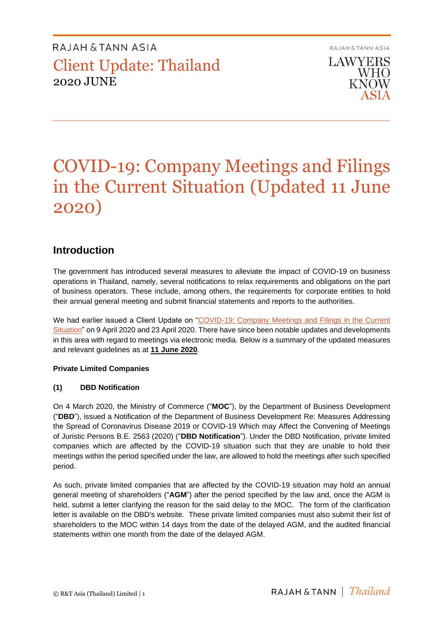**RAJAH & TANN ASIA LAWYERS WHO KNOW** ASIA

# COVID-19: Company Meetings and Filings in the Current Situation (Updated 11 June 2020)

### **Introduction**

The government has introduced several measures to alleviate the impact of COVID-19 on business operations in Thailand, namely, several notifications to relax requirements and obligations on the part of business operators. These include, among others, the requirements for corporate entities to hold their annual general meeting and submit financial statements and reports to the authorities.

We had earlier issued a Client Update on "COVID-19: Company Meetings and Filings in the Current [Situation"](https://th.rajahtannasia.com/media/3872/th_2020-04-covid19_company_meetings_and_filings.pdf) on 9 April 2020 and 23 April 2020. There have since been notable updates and developments in this area with regard to meetings via electronic media. Below is a summary of the updated measures and relevant guidelines as at **11 June 2020**.

### **Private Limited Companies**

### **(1) DBD Notification**

On 4 March 2020, the Ministry of Commerce ("**MOC**"), by the Department of Business Development ("**DBD**"), issued a Notification of the Department of Business Development Re: Measures Addressing the Spread of Coronavirus Disease 2019 or COVID-19 Which may Affect the Convening of Meetings of Juristic Persons B.E. 2563 (2020) ("**DBD Notification**"). Under the DBD Notification, private limited companies which are affected by the COVID-19 situation such that they are unable to hold their meetings within the period specified under the law, are allowed to hold the meetings after such specified period.

As such, private limited companies that are affected by the COVID-19 situation may hold an annual general meeting of shareholders ("**AGM**") after the period specified by the law and, once the AGM is held, submit a letter clarifying the reason for the said delay to the MOC. The form of the clarification letter is available on the DBD's website. These private limited companies must also submit their list of shareholders to the MOC within 14 days from the date of the delayed AGM, and the audited financial statements within one month from the date of the delayed AGM.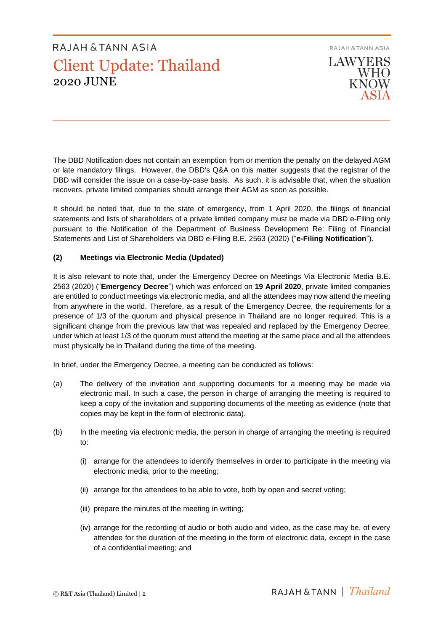

The DBD Notification does not contain an exemption from or mention the penalty on the delayed AGM or late mandatory filings. However, the DBD's Q&A on this matter suggests that the registrar of the DBD will consider the issue on a case-by-case basis. As such, it is advisable that, when the situation recovers, private limited companies should arrange their AGM as soon as possible.

It should be noted that, due to the state of emergency, from 1 April 2020, the filings of financial statements and lists of shareholders of a private limited company must be made via DBD e-Filing only pursuant to the Notification of the Department of Business Development Re: Filing of Financial Statements and List of Shareholders via DBD e-Filing B.E. 2563 (2020) ("**e-Filing Notification**").

### **(2) Meetings via Electronic Media (Updated)**

It is also relevant to note that, under the Emergency Decree on Meetings Via Electronic Media B.E. 2563 (2020) ("**Emergency Decree**") which was enforced on **19 April 2020**, private limited companies are entitled to conduct meetings via electronic media, and all the attendees may now attend the meeting from anywhere in the world. Therefore, as a result of the Emergency Decree, the requirements for a presence of 1/3 of the quorum and physical presence in Thailand are no longer required. This is a significant change from the previous law that was repealed and replaced by the Emergency Decree, under which at least 1/3 of the quorum must attend the meeting at the same place and all the attendees must physically be in Thailand during the time of the meeting.

In brief, under the Emergency Decree, a meeting can be conducted as follows:

- (a) The delivery of the invitation and supporting documents for a meeting may be made via electronic mail. In such a case, the person in charge of arranging the meeting is required to keep a copy of the invitation and supporting documents of the meeting as evidence (note that copies may be kept in the form of electronic data).
- (b) In the meeting via electronic media, the person in charge of arranging the meeting is required to:
	- (i) arrange for the attendees to identify themselves in order to participate in the meeting via electronic media, prior to the meeting;
	- (ii) arrange for the attendees to be able to vote, both by open and secret voting;
	- (iii) prepare the minutes of the meeting in writing;
	- (iv) arrange for the recording of audio or both audio and video, as the case may be, of every attendee for the duration of the meeting in the form of electronic data, except in the case of a confidential meeting; and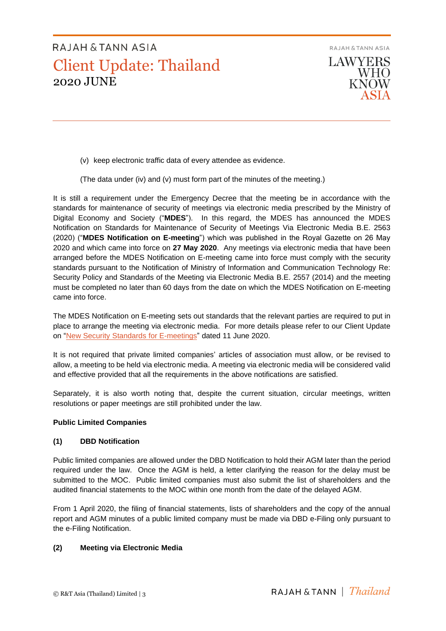

- (v) keep electronic traffic data of every attendee as evidence.
- (The data under (iv) and (v) must form part of the minutes of the meeting.)

It is still a requirement under the Emergency Decree that the meeting be in accordance with the standards for maintenance of security of meetings via electronic media prescribed by the Ministry of Digital Economy and Society ("**MDES**"). In this regard, the MDES has announced the MDES Notification on Standards for Maintenance of Security of Meetings Via Electronic Media B.E. 2563 (2020) ("**MDES Notification on E-meeting**") which was published in the Royal Gazette on 26 May 2020 and which came into force on **27 May 2020**. Any meetings via electronic media that have been arranged before the MDES Notification on E-meeting came into force must comply with the security standards pursuant to the Notification of Ministry of Information and Communication Technology Re: Security Policy and Standards of the Meeting via Electronic Media B.E. 2557 (2014) and the meeting must be completed no later than 60 days from the date on which the MDES Notification on E-meeting came into force.

The MDES Notification on E-meeting sets out standards that the relevant parties are required to put in place to arrange the meeting via electronic media. For more details please refer to our Client Update on ["New Security Standards for E-meetings"](https://www.rajahtannasia.com/media/3957/client_update_-_new_security_standards_for_e-meetings_.pdf) dated 11 June 2020.

It is not required that private limited companies' articles of association must allow, or be revised to allow, a meeting to be held via electronic media. A meeting via electronic media will be considered valid and effective provided that all the requirements in the above notifications are satisfied.

Separately, it is also worth noting that, despite the current situation, circular meetings, written resolutions or paper meetings are still prohibited under the law.

#### **Public Limited Companies**

#### **(1) DBD Notification**

Public limited companies are allowed under the DBD Notification to hold their AGM later than the period required under the law. Once the AGM is held, a letter clarifying the reason for the delay must be submitted to the MOC. Public limited companies must also submit the list of shareholders and the audited financial statements to the MOC within one month from the date of the delayed AGM.

From 1 April 2020, the filing of financial statements, lists of shareholders and the copy of the annual report and AGM minutes of a public limited company must be made via DBD e-Filing only pursuant to the e-Filing Notification.

### **(2) Meeting via Electronic Media**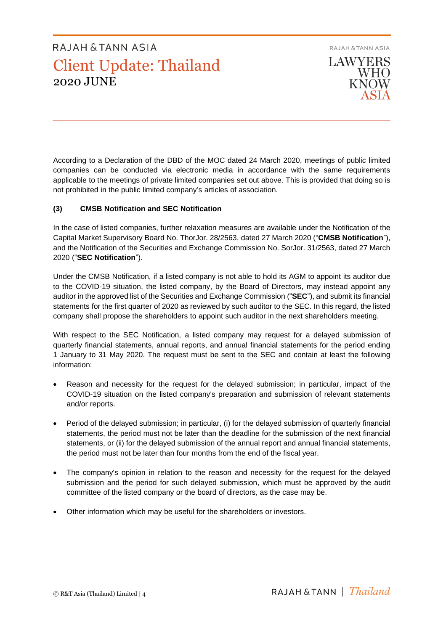RAJAH & TANN ASIA **LAWYERS WHO KNOW** 

According to a Declaration of the DBD of the MOC dated 24 March 2020, meetings of public limited companies can be conducted via electronic media in accordance with the same requirements applicable to the meetings of private limited companies set out above. This is provided that doing so is not prohibited in the public limited company's articles of association.

### **(3) CMSB Notification and SEC Notification**

In the case of listed companies, further relaxation measures are available under the Notification of the Capital Market Supervisory Board No. ThorJor. 28/2563, dated 27 March 2020 ("**CMSB Notification**"), and the Notification of the Securities and Exchange Commission No. SorJor. 31/2563, dated 27 March 2020 ("**SEC Notification**").

Under the CMSB Notification, if a listed company is not able to hold its AGM to appoint its auditor due to the COVID-19 situation, the listed company, by the Board of Directors, may instead appoint any auditor in the approved list of the Securities and Exchange Commission ("**SEC**"), and submit its financial statements for the first quarter of 2020 as reviewed by such auditor to the SEC. In this regard, the listed company shall propose the shareholders to appoint such auditor in the next shareholders meeting.

With respect to the SEC Notification, a listed company may request for a delayed submission of quarterly financial statements, annual reports, and annual financial statements for the period ending 1 January to 31 May 2020. The request must be sent to the SEC and contain at least the following information:

- Reason and necessity for the request for the delayed submission; in particular, impact of the COVID-19 situation on the listed company's preparation and submission of relevant statements and/or reports.
- Period of the delayed submission; in particular, (i) for the delayed submission of quarterly financial statements, the period must not be later than the deadline for the submission of the next financial statements, or (ii) for the delayed submission of the annual report and annual financial statements, the period must not be later than four months from the end of the fiscal year.
- The company's opinion in relation to the reason and necessity for the request for the delayed submission and the period for such delayed submission, which must be approved by the audit committee of the listed company or the board of directors, as the case may be.
- Other information which may be useful for the shareholders or investors.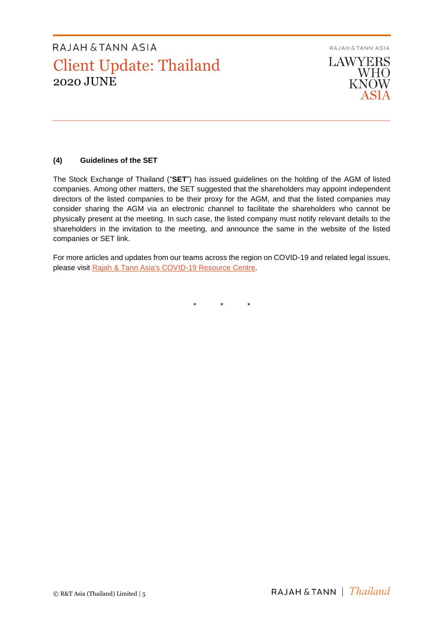RAJAH & TANN ASIA **LAWYERS WHO KNOW** ASIA

### **(4) Guidelines of the SET**

The Stock Exchange of Thailand ("**SET**") has issued guidelines on the holding of the AGM of listed companies. Among other matters, the SET suggested that the shareholders may appoint independent directors of the listed companies to be their proxy for the AGM, and that the listed companies may consider sharing the AGM via an electronic channel to facilitate the shareholders who cannot be physically present at the meeting. In such case, the listed company must notify relevant details to the shareholders in the invitation to the meeting, and announce the same in the website of the listed companies or SET link.

For more articles and updates from our teams across the region on COVID-19 and related legal issues, please visit [Rajah & Tann Asia's COVID-19 Resource Centre.](https://www.rajahtannasia.com/resource-centre/covid-19)

\* \* \*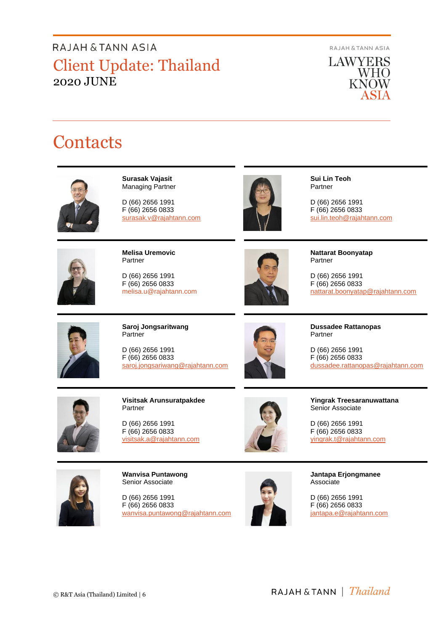RAJAH & TANN ASIA

**LAWYERS** WHO **KNOW** ASIA

# **Contacts**



**Surasak Vajasit** Managing Partner

D (66) 2656 1991 F (66) 2656 0833 surasak.v@rajahtann.com



**Sui Lin Teoh** Partner

D (66) 2656 1991 F (66) 2656 0833 [sui.lin.teoh@rajahtann.com](mailto:sui.lin.teoh@rajahtann.com)



**Melisa Uremovic** Partner

D (66) 2656 1991 F (66) 2656 0833 melisa.u@rajahtann.com



**Nattarat Boonyatap** Partner

D (66) 2656 1991 F (66) 2656 0833 nattarat.boonyatap@rajahtann.com



**Saroj Jongsaritwang Partner** 

D (66) 2656 1991 F (66) 2656 0833 [saroj.jongsariwang@rajahtann.com](mailto:saroj.jongsariwang@rajahtann.com)



**Dussadee Rattanopas** Partner

D (66) 2656 1991 F (66) 2656 0833 dussadee.rattanopas@rajahtann.com



**Visitsak Arunsuratpakdee** Partner

D (66) 2656 1991 F (66) 2656 0833 [visitsak.a@rajahtann.com](mailto:visitsak.a@rajahtann.com)



**Yingrak Treesaranuwattana** Senior Associate

D (66) 2656 1991 F (66) 2656 0833 [yingrak.t@rajahtann.com](mailto:yingrak.t@rajahtann.com)



**Wanvisa Puntawong** Senior Associate

D (66) 2656 1991 F (66) 2656 0833 wanvisa.puntawong@rajahtann.com



**Jantapa Erjongmanee** Associate

D (66) 2656 1991 F (66) 2656 0833 jantapa.e@rajahtann.com

RAJAH & TANN | Thailand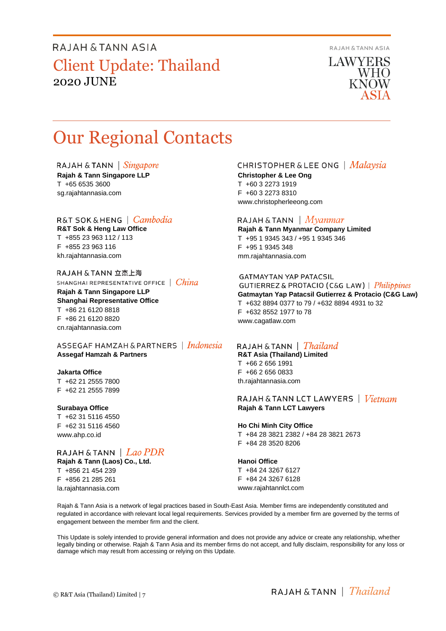**RAJAH & TANN ASIA** 

**LAWYERS WHO KNOW** 

# Our Regional Contacts

RAJAH & TANN  $\int$  *Singapore* **Rajah & Tann Singapore LLP** T +65 6535 3600 sg.rajahtannasia.com

### R&T SOK&HENG | Cambodia

**R&T Sok & Heng Law Office** T +855 23 963 112 / 113 F +855 23 963 116 kh.rajahtannasia.com

RAJAH & TANN 立杰上海 SHANGHAI REPRESENTATIVE OFFICE | China

**Rajah & Tann Singapore LLP Shanghai Representative Office** T +86 21 6120 8818 F +86 21 6120 8820

ASSEGAF HAMZAH & PARTNERS | Indonesia **Assegaf Hamzah & Partners**

#### **Jakarta Office**

T +62 21 2555 7800 F +62 21 2555 7899

cn.rajahtannasia.com

#### **Surabaya Office**

T +62 31 5116 4550 F +62 31 5116 4560 www.ahp.co.id

### RAJAH & TANN  $|$  *Lao PDR*

**Rajah & Tann (Laos) Co., Ltd.** T +856 21 454 239 F +856 21 285 261 la.rajahtannasia.com

### **CHRISTOPHER & LEE ONG** | Malaysia

**Christopher & Lee Ong** T +60 3 2273 1919 F +60 3 2273 8310 www.christopherleeong.com

#### RAJAH & TANN  $\mid$  *Myanmar*

**Rajah & Tann Myanmar Company Limited** T +95 1 9345 343 / +95 1 9345 346 F +95 1 9345 348 mm.rajahtannasia.com

### **GATMAYTAN YAP PATACSIL**

**GUTIERREZ & PROTACIO (C&G LAW)** | *Philippines* **Gatmaytan Yap Patacsil Gutierrez & Protacio (C&G Law)**  T +632 8894 0377 to 79 / +632 8894 4931 to 32 F +632 8552 1977 to 78 www.cagatlaw.com

### RAJAH & TANN | *Thailand*

**R&T Asia (Thailand) Limited** T +66 2 656 1991 F +66 2 656 0833 th.rajahtannasia.com

#### RAJAH & TANN LCT LAWYERS  $\mid$   $Vietnam$ **Rajah & Tann LCT Lawyers**

#### **Ho Chi Minh City Office**

T +84 28 3821 2382 / +84 28 3821 2673 F +84 28 3520 8206

#### **Hanoi Office**

T +84 24 3267 6127 F +84 24 3267 6128 www.rajahtannlct.com

Rajah & Tann Asia is a network of legal practices based in South-East Asia. Member firms are independently constituted and regulated in accordance with relevant local legal requirements. Services provided by a member firm are governed by the terms of engagement between the member firm and the client.

This Update is solely intended to provide general information and does not provide any advice or create any relationship, whether legally binding or otherwise. Rajah & Tann Asia and its member firms do not accept, and fully disclaim, responsibility for any loss or damage which may result from accessing or relying on this Update.